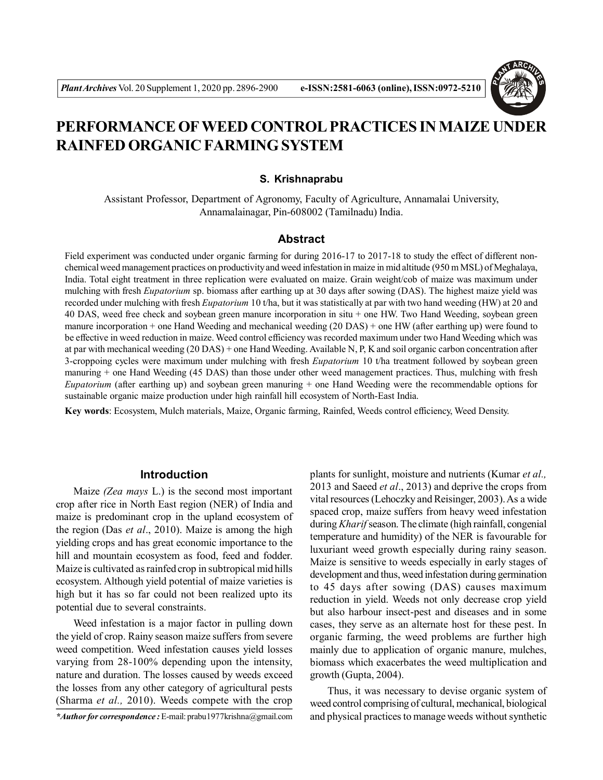

# **PERFORMANCE OF WEED CONTROL PRACTICES IN MAIZE UNDER RAINFED ORGANIC FARMING SYSTEM**

#### **S. Krishnaprabu**

Assistant Professor, Department of Agronomy, Faculty of Agriculture, Annamalai University, Annamalainagar, Pin-608002 (Tamilnadu) India.

## **Abstract**

Field experiment was conducted under organic farming for during 2016-17 to 2017-18 to study the effect of different nonchemical weed management practices on productivity and weed infestation in maize in mid altitude (950 m MSL) of Meghalaya, India. Total eight treatment in three replication were evaluated on maize. Grain weight/cob of maize was maximum under mulching with fresh *Eupatorium* sp. biomass after earthing up at 30 days after sowing (DAS). The highest maize yield was recorded under mulching with fresh *Eupatorium* 10 t/ha, but it was statistically at par with two hand weeding (HW) at 20 and 40 DAS, weed free check and soybean green manure incorporation in situ + one HW. Two Hand Weeding, soybean green manure incorporation + one Hand Weeding and mechanical weeding (20 DAS) + one HW (after earthing up) were found to be effective in weed reduction in maize. Weed control efficiency was recorded maximum under two Hand Weeding which was at par with mechanical weeding (20 DAS) + one Hand Weeding. Available N, P, K and soil organic carbon concentration after 3-croppoing cycles were maximum under mulching with fresh *Eupatorium* 10 t/ha treatment followed by soybean green manuring + one Hand Weeding (45 DAS) than those under other weed management practices. Thus, mulching with fresh *Eupatorium* (after earthing up) and soybean green manuring + one Hand Weeding were the recommendable options for sustainable organic maize production under high rainfall hill ecosystem of North-East India.

**Key words**: Ecosystem, Mulch materials, Maize, Organic farming, Rainfed, Weeds control efficiency, Weed Density.

## **Introduction**

Maize *(Zea mays* L.) is the second most important crop after rice in North East region (NER) of India and maize is predominant crop in the upland ecosystem of the region (Das *et al*., 2010). Maize is among the high yielding crops and has great economic importance to the hill and mountain ecosystem as food, feed and fodder. Maize is cultivated as rainfed crop in subtropical mid hills ecosystem. Although yield potential of maize varieties is high but it has so far could not been realized upto its potential due to several constraints.

Weed infestation is a major factor in pulling down the yield of crop. Rainy season maize suffers from severe weed competition. Weed infestation causes yield losses varying from 28-100% depending upon the intensity, nature and duration. The losses caused by weeds exceed the losses from any other category of agricultural pests (Sharma *et al.,* 2010). Weeds compete with the crop

*\*Author for correspondence :* E-mail: prabu1977krishna@gmail.com

plants for sunlight, moisture and nutrients (Kumar *et al.,* 2013 and Saeed *et al*., 2013) and deprive the crops from vital resources (Lehoczky and Reisinger, 2003). As a wide spaced crop, maize suffers from heavy weed infestation during *Kharif* season. The climate (high rainfall, congenial temperature and humidity) of the NER is favourable for luxuriant weed growth especially during rainy season. Maize is sensitive to weeds especially in early stages of development and thus, weed infestation during germination to 45 days after sowing (DAS) causes maximum reduction in yield. Weeds not only decrease crop yield but also harbour insect-pest and diseases and in some cases, they serve as an alternate host for these pest. In organic farming, the weed problems are further high mainly due to application of organic manure, mulches, biomass which exacerbates the weed multiplication and growth (Gupta, 2004).

Thus, it was necessary to devise organic system of weed control comprising of cultural, mechanical, biological and physical practices to manage weeds without synthetic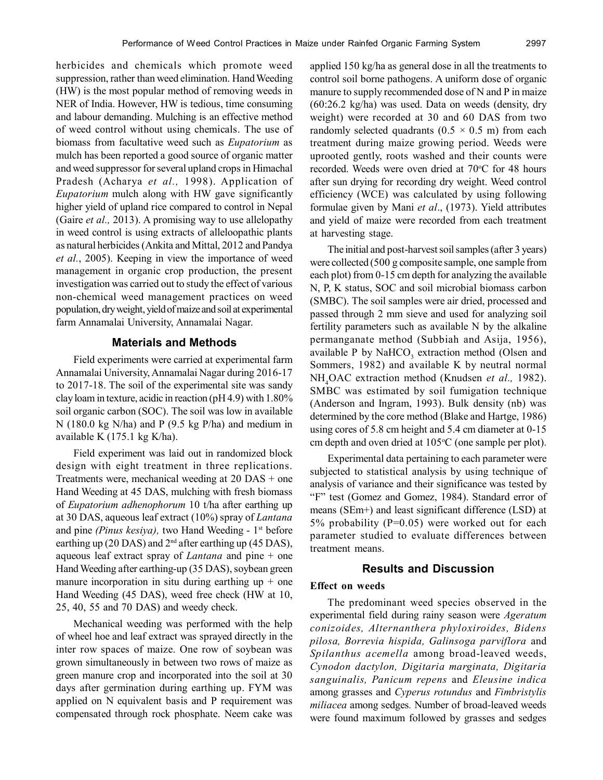herbicides and chemicals which promote weed suppression, rather than weed elimination. Hand Weeding (HW) is the most popular method of removing weeds in NER of India. However, HW is tedious, time consuming and labour demanding. Mulching is an effective method of weed control without using chemicals. The use of biomass from facultative weed such as *Eupatorium* as mulch has been reported a good source of organic matter and weed suppressor for several upland crops in Himachal Pradesh (Acharya *et al.,* 1998). Application of *Eupatorium* mulch along with HW gave significantly higher yield of upland rice compared to control in Nepal (Gaire *et al.,* 2013). A promising way to use allelopathy in weed control is using extracts of alleloopathic plants as natural herbicides (Ankita and Mittal, 2012 and Pandya *et al.*, 2005). Keeping in view the importance of weed management in organic crop production, the present investigation was carried out to study the effect of various non-chemical weed management practices on weed population, dry weight, yield of maize and soil at experimental farm Annamalai University, Annamalai Nagar.

# **Materials and Methods**

Field experiments were carried at experimental farm Annamalai University, Annamalai Nagar during 2016-17 to 2017-18. The soil of the experimental site was sandy clay loam in texture, acidic in reaction (pH 4.9) with 1.80% soil organic carbon (SOC). The soil was low in available N (180.0 kg N/ha) and P (9.5 kg P/ha) and medium in available K (175.1 kg K/ha).

Field experiment was laid out in randomized block design with eight treatment in three replications. Treatments were, mechanical weeding at 20 DAS + one Hand Weeding at 45 DAS, mulching with fresh biomass of *Eupatorium adhenophorum* 10 t/ha after earthing up at 30 DAS, aqueous leaf extract (10%) spray of *Lantana* and pine *(Pinus kesiya)*, two Hand Weeding - 1<sup>st</sup> before earthing up (20 DAS) and 2nd after earthing up (45 DAS), aqueous leaf extract spray of *Lantana* and pine + one Hand Weeding after earthing-up (35 DAS), soybean green manure incorporation in situ during earthing up  $+$  one Hand Weeding (45 DAS), weed free check (HW at 10, 25, 40, 55 and 70 DAS) and weedy check.

Mechanical weeding was performed with the help of wheel hoe and leaf extract was sprayed directly in the inter row spaces of maize. One row of soybean was grown simultaneously in between two rows of maize as green manure crop and incorporated into the soil at 30 days after germination during earthing up. FYM was applied on N equivalent basis and P requirement was compensated through rock phosphate. Neem cake was applied 150 kg/ha as general dose in all the treatments to control soil borne pathogens. A uniform dose of organic manure to supply recommended dose of N and P in maize (60:26.2 kg/ha) was used. Data on weeds (density, dry weight) were recorded at 30 and 60 DAS from two randomly selected quadrants ( $0.5 \times 0.5$  m) from each treatment during maize growing period. Weeds were uprooted gently, roots washed and their counts were recorded. Weeds were oven dried at 70°C for 48 hours after sun drying for recording dry weight. Weed control efficiency (WCE) was calculated by using following formulae given by Mani *et al*., (1973). Yield attributes and yield of maize were recorded from each treatment at harvesting stage.

The initial and post-harvest soil samples (after 3 years) were collected (500 g composite sample, one sample from each plot) from 0-15 cm depth for analyzing the available N, P, K status, SOC and soil microbial biomass carbon (SMBC). The soil samples were air dried, processed and passed through 2 mm sieve and used for analyzing soil fertility parameters such as available N by the alkaline permanganate method (Subbiah and Asija, 1956), available P by  $\text{NaHCO}_3$  extraction method (Olsen and Sommers, 1982) and available K by neutral normal NH<sub>4</sub>OAC extraction method (Knudsen *et al.*, 1982). SMBC was estimated by soil fumigation technique (Anderson and Ingram, 1993). Bulk density (nb) was determined by the core method (Blake and Hartge, 1986) using cores of 5.8 cm height and 5.4 cm diameter at 0-15 cm depth and oven dried at  $105^{\circ}$ C (one sample per plot).

Experimental data pertaining to each parameter were subjected to statistical analysis by using technique of analysis of variance and their significance was tested by "F" test (Gomez and Gomez, 1984). Standard error of means (SEm+) and least significant difference (LSD) at 5% probability (P=0.05) were worked out for each parameter studied to evaluate differences between treatment means.

# **Results and Discussion**

## **Effect on weeds**

The predominant weed species observed in the experimental field during rainy season were *Ageratum conizoides, Alternanthera phyloxiroides, Bidens pilosa, Borrevia hispida, Galinsoga parviflora* and *Spilanthus acemella* among broad-leaved weeds, *Cynodon dactylon, Digitaria marginata, Digitaria sanguinalis, Panicum repens* and *Eleusine indica* among grasses and *Cyperus rotundus* and *Fimbristylis miliacea* among sedges*.* Number of broad-leaved weeds were found maximum followed by grasses and sedges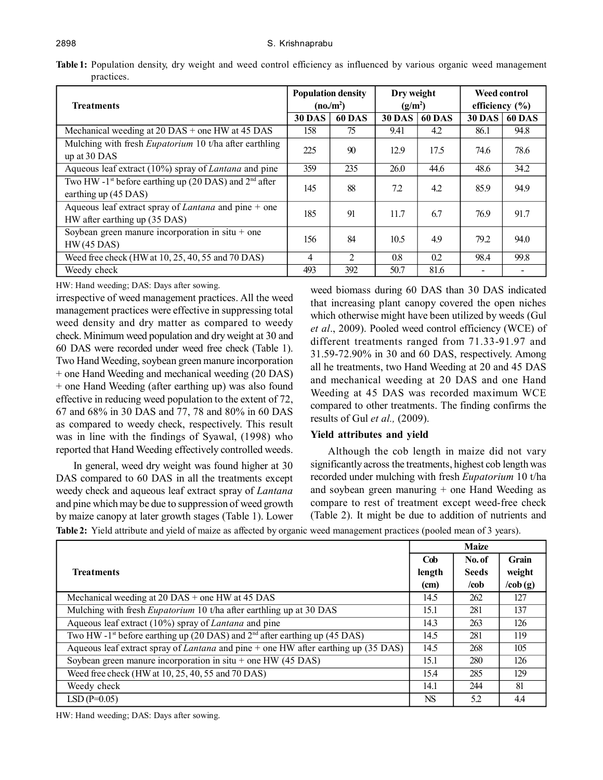| <b>Treatments</b>                                                                              | <b>Population density</b><br>(no/m <sup>2</sup> ) |                | Dry weight<br>(g/m <sup>2</sup> ) |               | <b>Weed control</b><br>efficiency $(\% )$ |        |
|------------------------------------------------------------------------------------------------|---------------------------------------------------|----------------|-----------------------------------|---------------|-------------------------------------------|--------|
|                                                                                                | <b>30 DAS</b>                                     | <b>60 DAS</b>  | <b>30 DAS</b>                     | <b>60 DAS</b> | <b>30 DAS</b>                             | 60 DAS |
| Mechanical weeding at $20$ DAS + one HW at 45 DAS                                              | 158                                               | 75             | 9.41                              | 4.2           | 86.1                                      | 94.8   |
| Mulching with fresh <i>Eupatorium</i> 10 t/ha after earthling<br>up at 30 DAS                  | 225                                               | 90             | 12.9                              | 17.5          | 74.6                                      | 78.6   |
| Aqueous leaf extract (10%) spray of <i>Lantana</i> and pine                                    | 359                                               | 235            | 26.0                              | 44.6          | 48.6                                      | 34.2   |
| Two HW -1 <sup>st</sup> before earthing up (20 DAS) and $2nd$ after<br>earthing up (45 DAS)    | 145                                               | 88             | 7.2                               | 4.2           | 85.9                                      | 94.9   |
| Aqueous leaf extract spray of <i>Lantana</i> and pine $+$ one<br>HW after earthing up (35 DAS) | 185                                               | 91             | 11.7                              | 6.7           | 76.9                                      | 91.7   |
| Soybean green manure incorporation in situ + one<br>$HW(45$ DAS)                               | 156                                               | 84             | 10.5                              | 4.9           | 79.2                                      | 94.0   |
| Weed free check (HW at 10, 25, 40, 55 and 70 DAS)                                              | 4                                                 | $\overline{2}$ | 0.8                               | 0.2           | 98.4                                      | 99.8   |
| Weedy check                                                                                    | 493                                               | 392            | 50.7                              | 81.6          |                                           |        |

Table 1: Population density, dry weight and weed control efficiency as influenced by various organic weed management practices.

HW: Hand weeding; DAS: Days after sowing.

irrespective of weed management practices. All the weed management practices were effective in suppressing total weed density and dry matter as compared to weedy check. Minimum weed population and dry weight at 30 and 60 DAS were recorded under weed free check (Table 1). Two Hand Weeding, soybean green manure incorporation + one Hand Weeding and mechanical weeding (20 DAS) + one Hand Weeding (after earthing up) was also found effective in reducing weed population to the extent of 72, 67 and 68% in 30 DAS and 77, 78 and 80% in 60 DAS as compared to weedy check, respectively. This result was in line with the findings of Syawal, (1998) who reported that Hand Weeding effectively controlled weeds.

In general, weed dry weight was found higher at 30 DAS compared to 60 DAS in all the treatments except weedy check and aqueous leaf extract spray of *Lantana* and pine which may be due to suppression of weed growth by maize canopy at later growth stages (Table 1). Lower

weed biomass during 60 DAS than 30 DAS indicated that increasing plant canopy covered the open niches which otherwise might have been utilized by weeds (Gul *et al*., 2009). Pooled weed control efficiency (WCE) of different treatments ranged from 71.33-91.97 and 31.59-72.90% in 30 and 60 DAS, respectively. Among all he treatments, two Hand Weeding at 20 and 45 DAS and mechanical weeding at 20 DAS and one Hand Weeding at 45 DAS was recorded maximum WCE compared to other treatments. The finding confirms the results of Gul *et al.,* (2009).

## **Yield attributes and yield**

Although the cob length in maize did not vary significantly across the treatments, highest cob length was recorded under mulching with fresh *Eupatorium* 10 t/ha and soybean green manuring + one Hand Weeding as compare to rest of treatment except weed-free check (Table 2). It might be due to addition of nutrients and

**Table 2:** Yield attribute and yield of maize as affected by organic weed management practices (pooled mean of 3 years).

|                                                                                                        | <b>Maize</b> |              |            |
|--------------------------------------------------------------------------------------------------------|--------------|--------------|------------|
|                                                                                                        | Cob          | No. of       | Grain      |
| <b>Treatments</b>                                                                                      | length       | <b>Seeds</b> | weight     |
|                                                                                                        | (cm)         | /cob         | $\cosh(g)$ |
| Mechanical weeding at $20$ DAS + one HW at 45 DAS                                                      | 14.5         | 262          | 127        |
| Mulching with fresh <i>Eupatorium</i> 10 t/ha after earthling up at 30 DAS                             | 15.1         | 281          | 137        |
| Aqueous leaf extract (10%) spray of <i>Lantana</i> and pine                                            | 14.3         | 263          | 126        |
| Two HW -1 <sup>st</sup> before earthing up (20 DAS) and $2nd$ after earthing up (45 DAS)               | 14.5         | 281          | 119        |
| Aqueous leaf extract spray of <i>Lantana</i> and pine + one $\overline{HW}$ after earthing up (35 DAS) | 14.5         | 268          | 105        |
| Soybean green manure incorporation in situ + one HW $(45$ DAS)                                         | 15.1         | 280          | 126        |
| Weed free check (HW at 10, 25, 40, 55 and 70 DAS)                                                      | 15.4         | 285          | 129        |
| Weedy check                                                                                            | 14.1         | 244          | 81         |
| $LSD(P=0.05)$                                                                                          | NS           | 5.2          | 4.4        |

HW: Hand weeding; DAS: Days after sowing.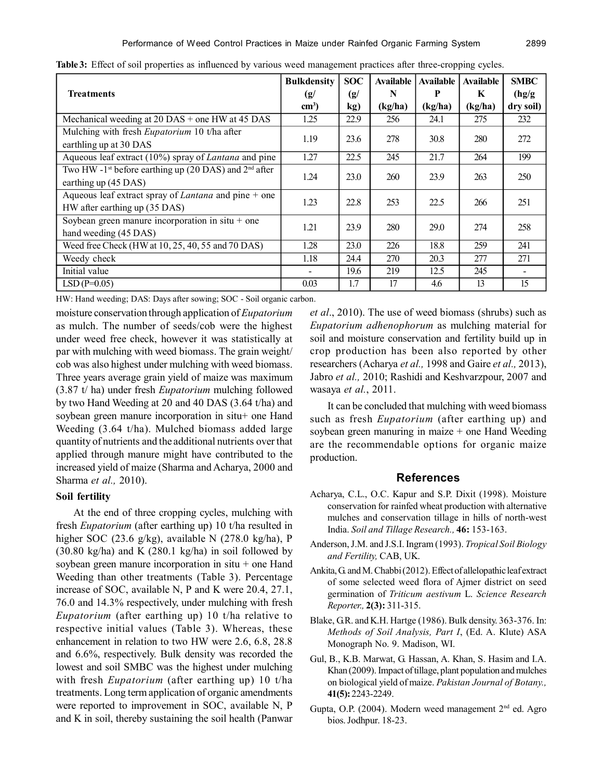|                                                                     | <b>Bulkdensity</b> | <b>SOC</b>                | Available | Available | <b>Available</b> | <b>SMBC</b> |
|---------------------------------------------------------------------|--------------------|---------------------------|-----------|-----------|------------------|-------------|
| <b>Treatments</b>                                                   | (g/                | $\left( \text{g} \right)$ | N         | P         | K                | (hg/g)      |
|                                                                     | $\text{cm}^3$ )    | kg)                       | (kg/ha)   | (kg/ha)   | (kg/ha)          | dry soil)   |
| Mechanical weeding at $20$ DAS + one HW at 45 DAS                   | 1.25               | 22.9                      | 256       | 24.1      | 275              | 232         |
| Mulching with fresh <i>Eupatorium</i> 10 t/ha after                 | 1.19               | 23.6                      | 278       | 30.8      | 280              | 272         |
| earthling up at 30 DAS                                              |                    |                           |           |           |                  |             |
| Aqueous leaf extract $(10\%)$ spray of <i>Lantana</i> and pine      | 1.27               | 22.5                      | 245       | 21.7      | 264              | 199         |
| Two HW -1 <sup>st</sup> before earthing up (20 DAS) and $2nd$ after | 1.24               | 23.0                      | 260       | 23.9      | 263              | 250         |
| earthing up (45 DAS)                                                |                    |                           |           |           |                  |             |
| Aqueous leaf extract spray of <i>Lantana</i> and pine $+$ one       | 1.23               | 22.8                      | 253       | 22.5      | 266              | 251         |
| HW after earthing up (35 DAS)                                       |                    |                           |           |           |                  |             |
| Soybean green manure incorporation in $situ + one$                  | 1.21               | 23.9                      | 280       | 29.0      | 274              | 258         |
| hand weeding (45 DAS)                                               |                    |                           |           |           |                  |             |
| Weed free Check (HW at 10, 25, 40, 55 and 70 DAS)                   | 1.28               | 23.0                      | 226       | 18.8      | 259              | 241         |
| Weedy check                                                         | 1.18               | 24.4                      | 270       | 20.3      | 277              | 271         |
| Initial value                                                       |                    | 19.6                      | 219       | 12.5      | 245              |             |
| $LSD(P=0.05)$                                                       | 0.03               | 1.7                       | 17        | 4.6       | 13               | 15          |

**Table 3:** Effect of soil properties as influenced by various weed management practices after three-cropping cycles.

HW: Hand weeding; DAS: Days after sowing; SOC - Soil organic carbon.

moisture conservation through application of *Eupatorium* as mulch. The number of seeds/cob were the highest under weed free check, however it was statistically at par with mulching with weed biomass. The grain weight/ cob was also highest under mulching with weed biomass. Three years average grain yield of maize was maximum (3.87 t/ ha) under fresh *Eupatorium* mulching followed by two Hand Weeding at 20 and 40 DAS (3.64 t/ha) and soybean green manure incorporation in situ+ one Hand Weeding (3.64 t/ha). Mulched biomass added large quantity of nutrients and the additional nutrients over that applied through manure might have contributed to the increased yield of maize (Sharma and Acharya, 2000 and Sharma *et al.,* 2010).

#### **Soil fertility**

At the end of three cropping cycles, mulching with fresh *Eupatorium* (after earthing up) 10 t/ha resulted in higher SOC (23.6 g/kg), available N (278.0 kg/ha), P  $(30.80 \text{ kg/ha})$  and K  $(280.1 \text{ kg/ha})$  in soil followed by soybean green manure incorporation in  $situ + one$  Hand Weeding than other treatments (Table 3). Percentage increase of SOC, available N, P and K were 20.4, 27.1, 76.0 and 14.3% respectively, under mulching with fresh *Eupatorium* (after earthing up) 10 t/ha relative to respective initial values (Table 3). Whereas, these enhancement in relation to two HW were 2.6, 6.8, 28.8 and 6.6%, respectively. Bulk density was recorded the lowest and soil SMBC was the highest under mulching with fresh *Eupatorium* (after earthing up) 10 t/ha treatments. Long term application of organic amendments were reported to improvement in SOC, available N, P and K in soil, thereby sustaining the soil health (Panwar

*et al*., 2010). The use of weed biomass (shrubs) such as *Eupatorium adhenophorum* as mulching material for soil and moisture conservation and fertility build up in crop production has been also reported by other researchers (Acharya *et al.,* 1998 and Gaire *et al.,* 2013), Jabro *et al.,* 2010; Rashidi and Keshvarzpour, 2007 and wasaya *et al.*, 2011.

It can be concluded that mulching with weed biomass such as fresh *Eupatorium* (after earthing up) and soybean green manuring in maize + one Hand Weeding are the recommendable options for organic maize production.

## **References**

- Acharya, C.L., O.C. Kapur and S.P. Dixit (1998). Moisture conservation for rainfed wheat production with alternative mulches and conservation tillage in hills of north-west India. *Soil and Tillage Research.,* **46:** 153-163.
- Anderson, J.M. and J.S.I. Ingram (1993). *Tropical Soil Biology and Fertility,* CAB, UK.
- Ankita, G. and M. Chabbi (2012). Effect of allelopathic leaf extract of some selected weed flora of Ajmer district on seed germination of *Triticum aestivum* L. *Science Research Reporter.,* **2(3):** 311-315.
- Blake, G.R. and K.H. Hartge (1986). Bulk density. 363-376. In: *Methods of Soil Analysis, Part I*, (Ed. A. Klute) ASA Monograph No. 9. Madison, WI.
- Gul, B., K.B. Marwat, G. Hassan, A. Khan, S. Hasim and I.A. Khan (2009). Impact of tillage, plant population and mulches on biological yield of maize. *Pakistan Journal of Botany.,* **41(5):** 2243-2249.
- Gupta, O.P. (2004). Modern weed management 2nd ed. Agro bios. Jodhpur. 18-23.